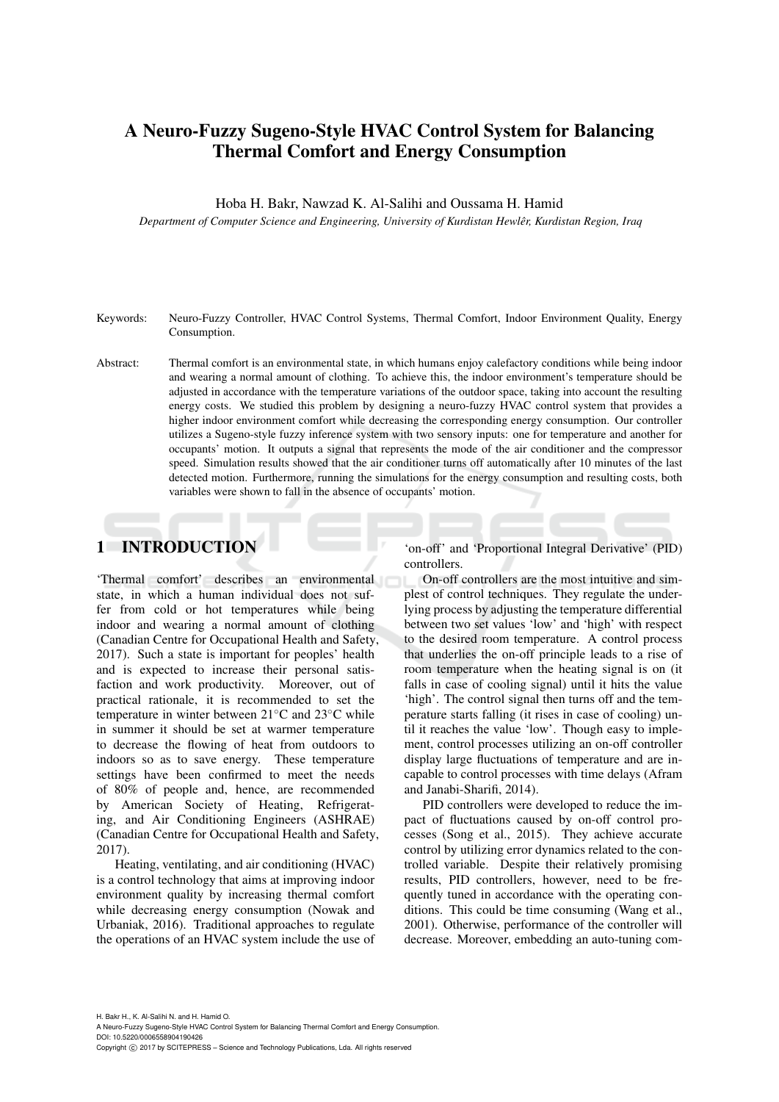# A Neuro-Fuzzy Sugeno-Style HVAC Control System for Balancing Thermal Comfort and Energy Consumption

Hoba H. Bakr, Nawzad K. Al-Salihi and Oussama H. Hamid

*Department of Computer Science and Engineering, University of Kurdistan Hewler, Kurdistan Region, Iraq ˆ*

- Keywords: Neuro-Fuzzy Controller, HVAC Control Systems, Thermal Comfort, Indoor Environment Quality, Energy Consumption.
- Abstract: Thermal comfort is an environmental state, in which humans enjoy calefactory conditions while being indoor and wearing a normal amount of clothing. To achieve this, the indoor environment's temperature should be adjusted in accordance with the temperature variations of the outdoor space, taking into account the resulting energy costs. We studied this problem by designing a neuro-fuzzy HVAC control system that provides a higher indoor environment comfort while decreasing the corresponding energy consumption. Our controller utilizes a Sugeno-style fuzzy inference system with two sensory inputs: one for temperature and another for occupants' motion. It outputs a signal that represents the mode of the air conditioner and the compressor speed. Simulation results showed that the air conditioner turns off automatically after 10 minutes of the last detected motion. Furthermore, running the simulations for the energy consumption and resulting costs, both variables were shown to fall in the absence of occupants' motion.

## 1 INTRODUCTION

'Thermal comfort' describes an environmental state, in which a human individual does not suffer from cold or hot temperatures while being indoor and wearing a normal amount of clothing (Canadian Centre for Occupational Health and Safety, 2017). Such a state is important for peoples' health and is expected to increase their personal satisfaction and work productivity. Moreover, out of practical rationale, it is recommended to set the temperature in winter between 21◦C and 23◦C while in summer it should be set at warmer temperature to decrease the flowing of heat from outdoors to indoors so as to save energy. These temperature settings have been confirmed to meet the needs of 80% of people and, hence, are recommended by American Society of Heating, Refrigerating, and Air Conditioning Engineers (ASHRAE) (Canadian Centre for Occupational Health and Safety, 2017).

Heating, ventilating, and air conditioning (HVAC) is a control technology that aims at improving indoor environment quality by increasing thermal comfort while decreasing energy consumption (Nowak and Urbaniak, 2016). Traditional approaches to regulate the operations of an HVAC system include the use of

'on-off' and 'Proportional Integral Derivative' (PID) controllers.

On-off controllers are the most intuitive and simplest of control techniques. They regulate the underlying process by adjusting the temperature differential between two set values 'low' and 'high' with respect to the desired room temperature. A control process that underlies the on-off principle leads to a rise of room temperature when the heating signal is on (it falls in case of cooling signal) until it hits the value 'high'. The control signal then turns off and the temperature starts falling (it rises in case of cooling) until it reaches the value 'low'. Though easy to implement, control processes utilizing an on-off controller display large fluctuations of temperature and are incapable to control processes with time delays (Afram and Janabi-Sharifi, 2014).

PID controllers were developed to reduce the impact of fluctuations caused by on-off control processes (Song et al., 2015). They achieve accurate control by utilizing error dynamics related to the controlled variable. Despite their relatively promising results, PID controllers, however, need to be frequently tuned in accordance with the operating conditions. This could be time consuming (Wang et al., 2001). Otherwise, performance of the controller will decrease. Moreover, embedding an auto-tuning com-

H. Bakr H., K. Al-Salihi N. and H. Hamid O. A Neuro-Fuzzy Sugeno-Style HVAC Control System for Balancing Thermal Comfort and Energy Consumption. DOI: 10.5220/0006558904190426

Copyright (C) 2017 by SCITEPRESS - Science and Technology Publications, Lda. All rights reserved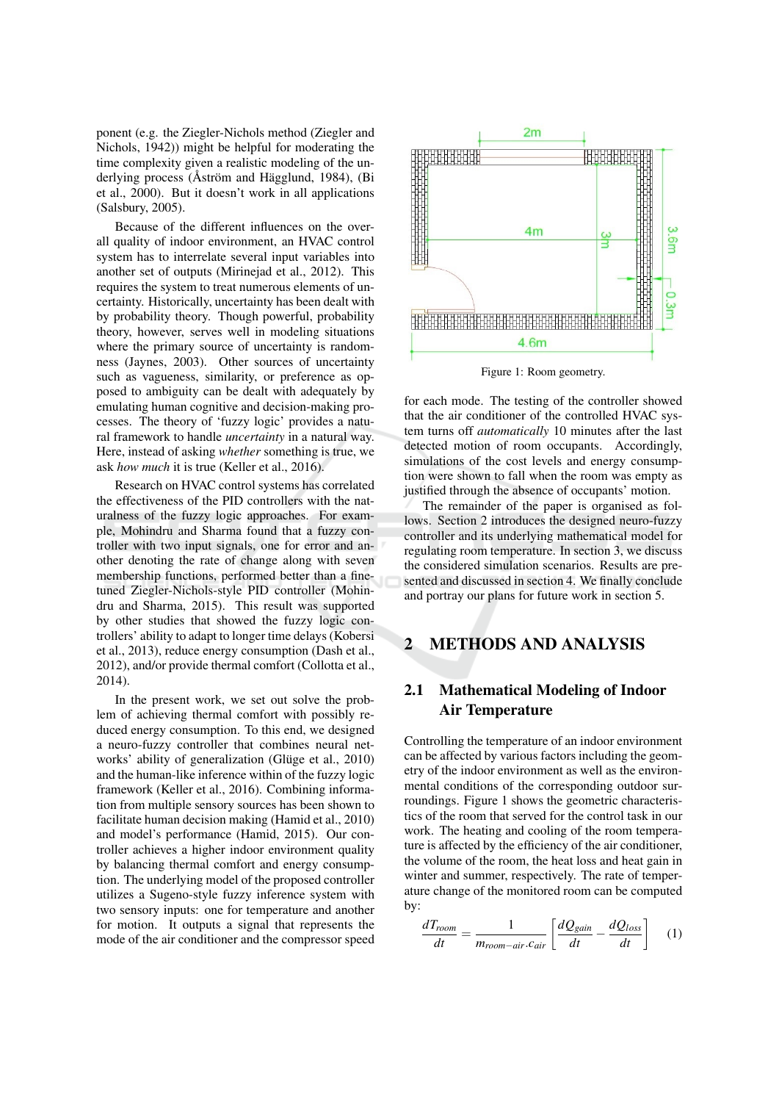ponent (e.g. the Ziegler-Nichols method (Ziegler and Nichols, 1942)) might be helpful for moderating the time complexity given a realistic modeling of the underlying process (Åström and Hägglund, 1984), (Bi et al., 2000). But it doesn't work in all applications (Salsbury, 2005).

Because of the different influences on the overall quality of indoor environment, an HVAC control system has to interrelate several input variables into another set of outputs (Mirinejad et al., 2012). This requires the system to treat numerous elements of uncertainty. Historically, uncertainty has been dealt with by probability theory. Though powerful, probability theory, however, serves well in modeling situations where the primary source of uncertainty is randomness (Jaynes, 2003). Other sources of uncertainty such as vagueness, similarity, or preference as opposed to ambiguity can be dealt with adequately by emulating human cognitive and decision-making processes. The theory of 'fuzzy logic' provides a natural framework to handle *uncertainty* in a natural way. Here, instead of asking whether something is true, we ask how much it is true (Keller et al., 2016).

Research on HVAC control systems has correlated the effectiveness of the PID controllers with the naturalness of the fuzzy logic approaches. For example, Mohindru and Sharma found that a fuzzy controller with two input signals, one for error and another denoting the rate of change along with seven membership functions, performed better than a finetuned Ziegler-Nichols-style PID controller (Mohindru and Sharma, 2015). This result was supported by other studies that showed the fuzzy logic controllers' ability to adapt to longer time delays (Kobersi et al., 2013), reduce energy consumption (Dash et al., 2012), and/or provide thermal comfort (Collotta et al.,  $2014$ ).

In the present work, we set out solve the problem of achieving thermal comfort with possibly reduced energy consumption. To this end, we designed a neuro-fuzzy controller that combines neural networks' ability of generalization (Glüge et al., 2010) and the human-like inference within of the fuzzy logic framework (Keller et al., 2016). Combining information from multiple sensory sources has been shown to facilitate human decision making (Hamid et al., 2010) and model's performance (Hamid, 2015). Our controller achieves a higher indoor environment quality by balancing thermal comfort and energy consumption. The underlying model of the proposed controller utilizes a Sugeno-style fuzzy inference system with two sensory inputs: one for temperature and another for motion. It outputs a signal that represents the mode of the air conditioner and the compressor speed



Figure 1: Room geometry.

for each mode. The testing of the controller showed that the air conditioner of the controlled HVAC system turns off *automatically* 10 minutes after the last detected motion of room occupants. Accordingly, simulations of the cost levels and energy consumption were shown to fall when the room was empty as justified through the absence of occupants' motion.

The remainder of the paper is organised as follows. Section 2 introduces the designed neuro-fuzzy controller and its underlying mathematical model for regulating room temperature. In section 3, we discuss the considered simulation scenarios. Results are presented and discussed in section 4. We finally conclude and portray our plans for future work in section 5.

#### $\overline{2}$ **METHODS AND ANALYSIS**

### $2.1$ **Mathematical Modeling of Indoor Air Temperature**

Controlling the temperature of an indoor environment can be affected by various factors including the geometry of the indoor environment as well as the environmental conditions of the corresponding outdoor surroundings. Figure 1 shows the geometric characteristics of the room that served for the control task in our work. The heating and cooling of the room temperature is affected by the efficiency of the air conditioner, the volume of the room, the heat loss and heat gain in winter and summer, respectively. The rate of temperature change of the monitored room can be computed by:

$$
\frac{dT_{room}}{dt} = \frac{1}{m_{room-air} \cdot c_{air}} \left[ \frac{dQ_{gain}}{dt} - \frac{dQ_{loss}}{dt} \right] \tag{1}
$$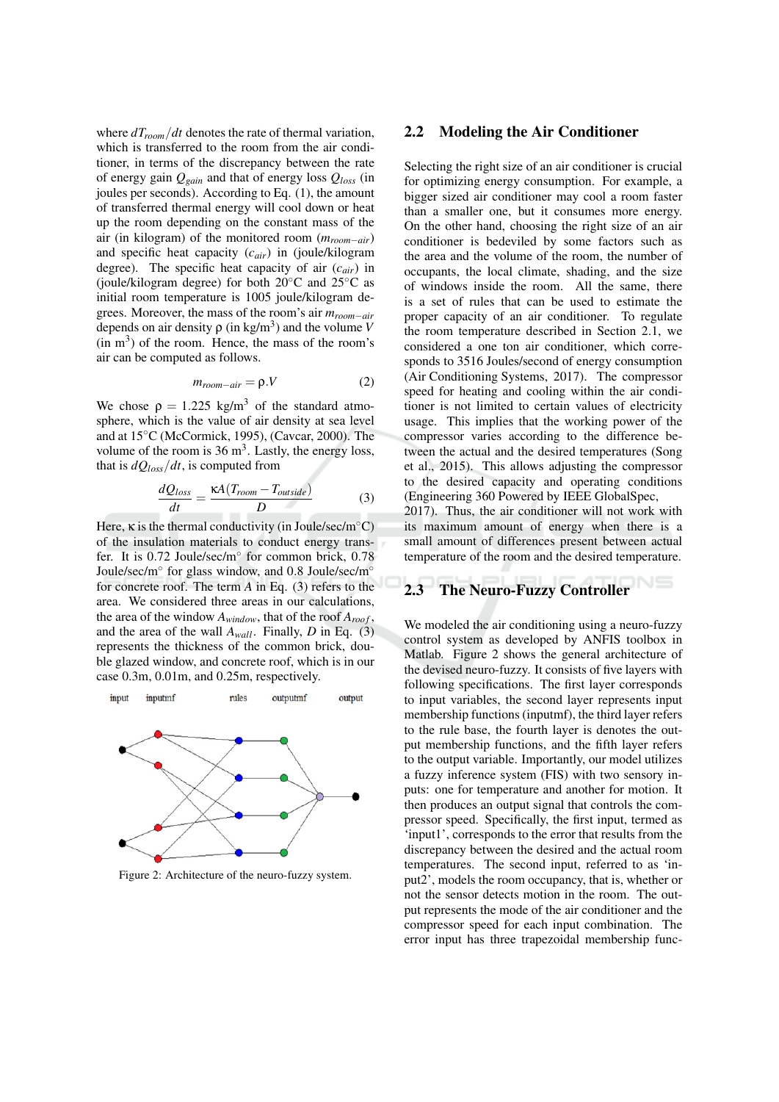where  $dT_{room}/dt$  denotes the rate of thermal variation, which is transferred to the room from the air conditioner, in terms of the discrepancy between the rate of energy gain  $Q_{gain}$  and that of energy loss  $Q_{loss}$  (in joules per seconds). According to Eq. (1), the amount of transferred thermal energy will cool down or heat up the room depending on the constant mass of the air (in kilogram) of the monitored room  $(m_{room-air})$ and specific heat capacity  $(c_{air})$  in (joule/kilogram degree). The specific heat capacity of air  $(c_{air})$  in (ioule/kilogram degree) for both  $20^{\circ}$ C and  $25^{\circ}$ C as initial room temperature is 1005 joule/kilogram degrees. Moreover, the mass of the room's air  $m_{room-air}$ depends on air density  $\rho$  (in kg/m<sup>3</sup>) and the volume V  $(in m<sup>3</sup>)$  of the room. Hence, the mass of the room's air can be computed as follows.

$$
m_{room-air} = \rho.V \tag{2}
$$

We chose  $\rho = 1.225 \text{ kg/m}^3$  of the standard atmosphere, which is the value of air density at sea level and at 15°C (McCormick, 1995), (Cavcar, 2000). The volume of the room is  $36 \text{ m}^3$ . Lastly, the energy loss, that is  $dQ_{loss}/dt$ , is computed from

$$
\frac{dQ_{loss}}{dt} = \frac{\kappa A (T_{room} - T_{outside})}{D}
$$
(3)

Here,  $\kappa$  is the thermal conductivity (in Joule/sec/m<sup>o</sup>C) of the insulation materials to conduct energy transfer. It is 0.72 Joule/sec/m° for common brick, 0.78 Joule/sec/m $^{\circ}$  for glass window, and 0.8 Joule/sec/m $^{\circ}$ for concrete roof. The term  $A$  in Eq. (3) refers to the area. We considered three areas in our calculations, the area of the window  $A_{window}$ , that of the roof  $A_{root}$ , and the area of the wall  $A_{wall}$ . Finally, D in Eq. (3) represents the thickness of the common brick, double glazed window, and concrete roof, which is in our case 0.3m, 0.01m, and 0.25m, respectively.



Figure 2: Architecture of the neuro-fuzzy system.

#### **Modeling the Air Conditioner**  $2.2\phantom{0}$

Selecting the right size of an air conditioner is crucial for optimizing energy consumption. For example, a bigger sized air conditioner may cool a room faster than a smaller one, but it consumes more energy. On the other hand, choosing the right size of an air conditioner is bedeviled by some factors such as the area and the volume of the room, the number of occupants, the local climate, shading, and the size of windows inside the room. All the same, there is a set of rules that can be used to estimate the proper capacity of an air conditioner. To regulate the room temperature described in Section 2.1, we considered a one ton air conditioner, which corresponds to 3516 Joules/second of energy consumption (Air Conditioning Systems, 2017). The compressor speed for heating and cooling within the air conditioner is not limited to certain values of electricity usage. This implies that the working power of the compressor varies according to the difference between the actual and the desired temperatures (Song et al., 2015). This allows adjusting the compressor to the desired capacity and operating conditions (Engineering 360 Powered by IEEE GlobalSpec,

2017). Thus, the air conditioner will not work with its maximum amount of energy when there is a small amount of differences present between actual temperature of the room and the desired temperature.

#### **The Neuro-Fuzzy Controller** 2.3

We modeled the air conditioning using a neuro-fuzzy control system as developed by ANFIS toolbox in Matlab. Figure 2 shows the general architecture of the devised neuro-fuzzy. It consists of five layers with following specifications. The first layer corresponds to input variables, the second layer represents input membership functions (inputmf), the third layer refers to the rule base, the fourth layer is denotes the output membership functions, and the fifth layer refers to the output variable. Importantly, our model utilizes a fuzzy inference system (FIS) with two sensory inputs: one for temperature and another for motion. It then produces an output signal that controls the compressor speed. Specifically, the first input, termed as 'input1', corresponds to the error that results from the discrepancy between the desired and the actual room temperatures. The second input, referred to as 'input2', models the room occupancy, that is, whether or not the sensor detects motion in the room. The output represents the mode of the air conditioner and the compressor speed for each input combination. The error input has three trapezoidal membership func-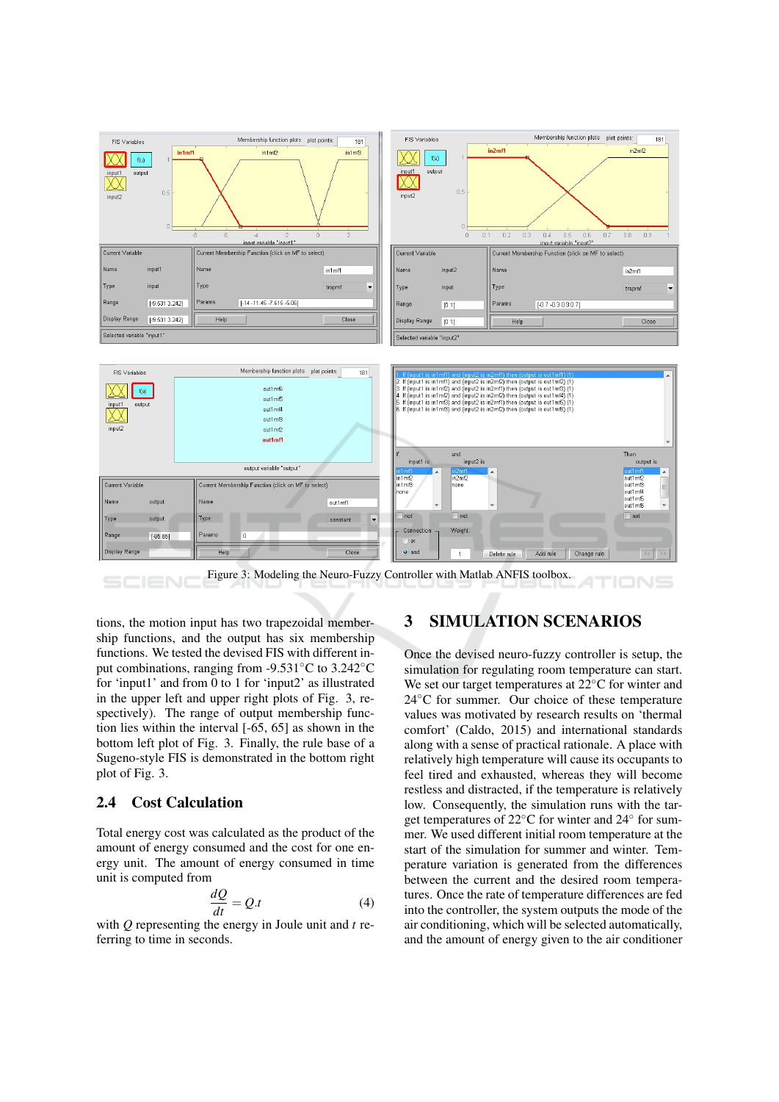

tions, the motion input has two trapezoidal membership functions, and the output has six membership functions. We tested the devised FIS with different input combinations, ranging from  $-9.531^{\circ}$ C to 3.242<sup>°</sup>C for 'input1' and from 0 to 1 for 'input2' as illustrated in the upper left and upper right plots of Fig. 3, respectively). The range of output membership function lies within the interval  $[-65, 65]$  as shown in the bottom left plot of Fig. 3. Finally, the rule base of a Sugeno-style FIS is demonstrated in the bottom right plot of Fig. 3.

#### **Cost Calculation**  $2.4$

Total energy cost was calculated as the product of the amount of energy consumed and the cost for one energy unit. The amount of energy consumed in time unit is computed from

$$
\frac{dQ}{dt} = Q.t
$$
\n(4)

with  $Q$  representing the energy in Joule unit and  $t$  referring to time in seconds.

#### 3 **SIMULATION SCENARIOS**

Once the devised neuro-fuzzy controller is setup, the simulation for regulating room temperature can start. We set our target temperatures at  $22^{\circ}$ C for winter and  $24^{\circ}$ C for summer. Our choice of these temperature values was motivated by research results on 'thermal comfort' (Caldo, 2015) and international standards along with a sense of practical rationale. A place with relatively high temperature will cause its occupants to feel tired and exhausted, whereas they will become restless and distracted, if the temperature is relatively low. Consequently, the simulation runs with the target temperatures of 22°C for winter and 24° for summer. We used different initial room temperature at the start of the simulation for summer and winter. Temperature variation is generated from the differences between the current and the desired room temperatures. Once the rate of temperature differences are fed into the controller, the system outputs the mode of the air conditioning, which will be selected automatically, and the amount of energy given to the air conditioner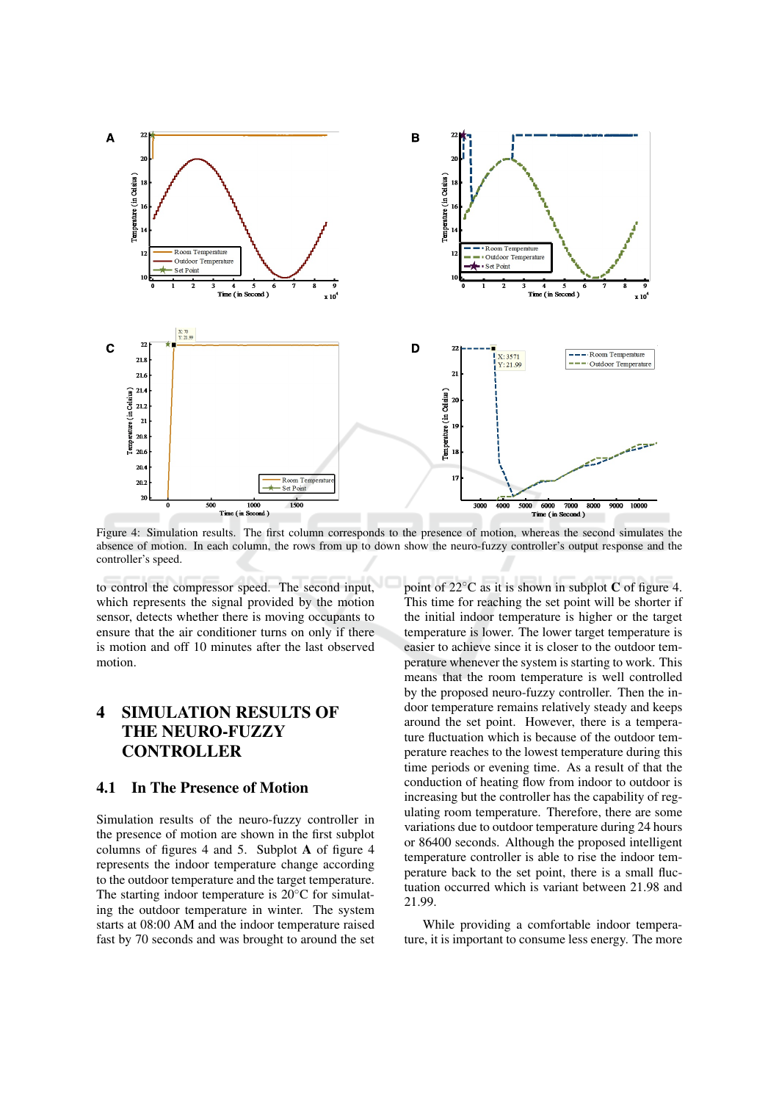

Figure 4: Simulation results. The first column corresponds to the presence of motion, whereas the second simulates the absence of motion. In each column, the rows from up to down show the neuro-fuzzy controller's output response and the controller's speed.

to control the compressor speed. The second input, which represents the signal provided by the motion sensor, detects whether there is moving occupants to ensure that the air conditioner turns on only if there is motion and off 10 minutes after the last observed motion.

### $\overline{\mathbf{4}}$ **SIMULATION RESULTS OF THE NEURO-FUZZY CONTROLLER**

#### **In The Presence of Motion**  $4.1$

Simulation results of the neuro-fuzzy controller in the presence of motion are shown in the first subplot columns of figures 4 and 5. Subplot A of figure 4 represents the indoor temperature change according to the outdoor temperature and the target temperature. The starting indoor temperature is  $20^{\circ}$ C for simulating the outdoor temperature in winter. The system starts at 08:00 AM and the indoor temperature raised fast by 70 seconds and was brought to around the set point of  $22^{\circ}$ C as it is shown in subplot C of figure 4. This time for reaching the set point will be shorter if the initial indoor temperature is higher or the target temperature is lower. The lower target temperature is easier to achieve since it is closer to the outdoor temperature whenever the system is starting to work. This means that the room temperature is well controlled by the proposed neuro-fuzzy controller. Then the indoor temperature remains relatively steady and keeps around the set point. However, there is a temperature fluctuation which is because of the outdoor temperature reaches to the lowest temperature during this time periods or evening time. As a result of that the conduction of heating flow from indoor to outdoor is increasing but the controller has the capability of regulating room temperature. Therefore, there are some variations due to outdoor temperature during 24 hours or 86400 seconds. Although the proposed intelligent temperature controller is able to rise the indoor temperature back to the set point, there is a small fluctuation occurred which is variant between 21.98 and 21.99.

While providing a comfortable indoor temperature, it is important to consume less energy. The more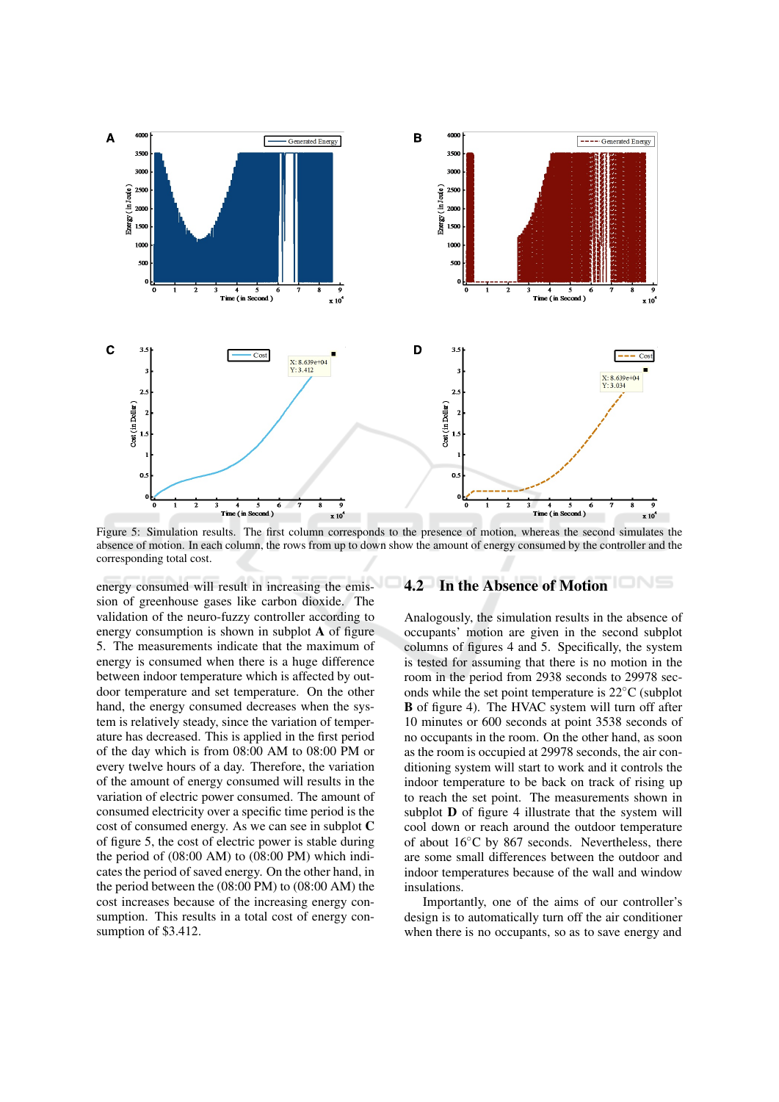

Figure 5: Simulation results. The first column corresponds to the presence of motion, whereas the second simulates the absence of motion. In each column, the rows from up to down show the amount of energy consumed by the controller and the corresponding total cost.

energy consumed will result in increasing the emission of greenhouse gases like carbon dioxide. The validation of the neuro-fuzzy controller according to energy consumption is shown in subplot A of figure 5. The measurements indicate that the maximum of energy is consumed when there is a huge difference between indoor temperature which is affected by outdoor temperature and set temperature. On the other hand, the energy consumed decreases when the system is relatively steady, since the variation of temperature has decreased. This is applied in the first period of the day which is from 08:00 AM to 08:00 PM or every twelve hours of a day. Therefore, the variation of the amount of energy consumed will results in the variation of electric power consumed. The amount of consumed electricity over a specific time period is the cost of consumed energy. As we can see in subplot C of figure 5, the cost of electric power is stable during the period of  $(08:00 \text{ AM})$  to  $(08:00 \text{ PM})$  which indicates the period of saved energy. On the other hand, in the period between the  $(08:00 \text{ PM})$  to  $(08:00 \text{ AM})$  the cost increases because of the increasing energy consumption. This results in a total cost of energy consumption of \$3.412.

### 4.2 In the Absence of Motion

Analogously, the simulation results in the absence of occupants' motion are given in the second subplot columns of figures 4 and 5. Specifically, the system is tested for assuming that there is no motion in the room in the period from 2938 seconds to 29978 seconds while the set point temperature is  $22^{\circ}$ C (subplot **B** of figure 4). The HVAC system will turn off after 10 minutes or 600 seconds at point 3538 seconds of no occupants in the room. On the other hand, as soon as the room is occupied at 29978 seconds, the air conditioning system will start to work and it controls the indoor temperature to be back on track of rising up to reach the set point. The measurements shown in subplot **D** of figure 4 illustrate that the system will cool down or reach around the outdoor temperature of about  $16^{\circ}$ C by 867 seconds. Nevertheless, there are some small differences between the outdoor and indoor temperatures because of the wall and window insulations.

Importantly, one of the aims of our controller's design is to automatically turn off the air conditioner when there is no occupants, so as to save energy and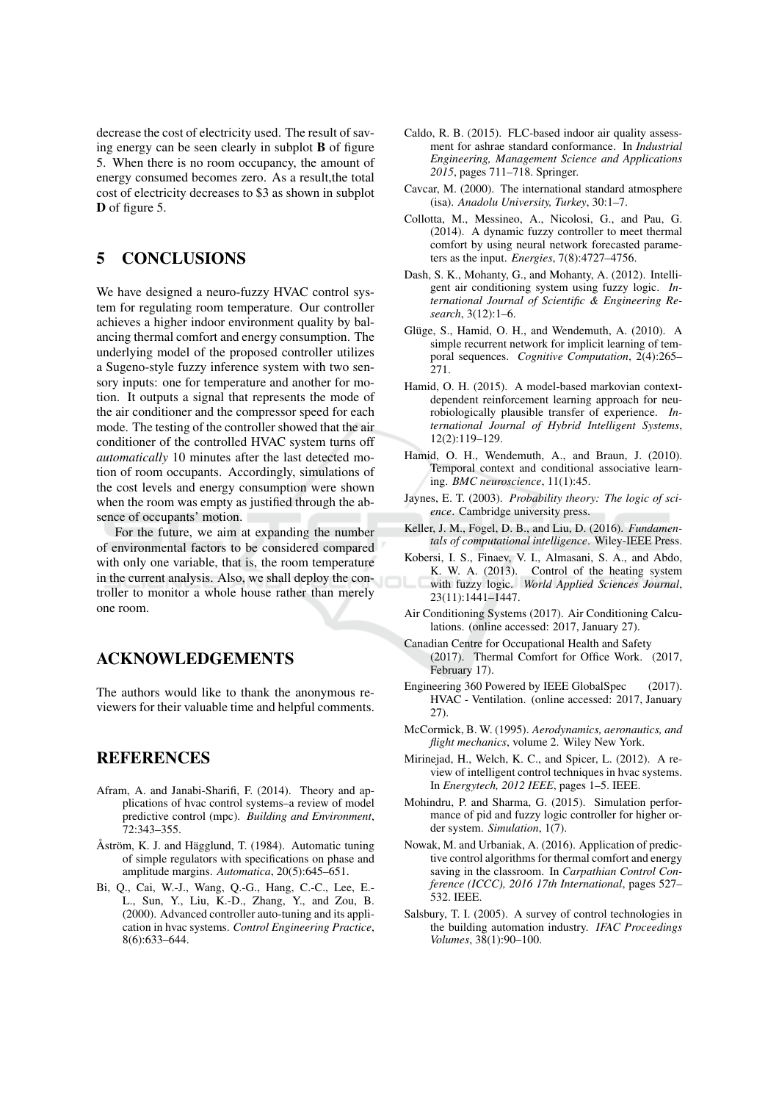decrease the cost of electricity used. The result of saving energy can be seen clearly in subplot **B** of figure 5. When there is no room occupancy, the amount of energy consumed becomes zero. As a result, the total cost of electricity decreases to \$3 as shown in subplot D of figure 5.

#### 5 **CONCLUSIONS**

We have designed a neuro-fuzzy HVAC control system for regulating room temperature. Our controller achieves a higher indoor environment quality by balancing thermal comfort and energy consumption. The underlying model of the proposed controller utilizes a Sugeno-style fuzzy inference system with two sensory inputs: one for temperature and another for motion. It outputs a signal that represents the mode of the air conditioner and the compressor speed for each mode. The testing of the controller showed that the air conditioner of the controlled HVAC system turns off automatically 10 minutes after the last detected motion of room occupants. Accordingly, simulations of the cost levels and energy consumption were shown when the room was empty as justified through the absence of occupants' motion.

For the future, we aim at expanding the number of environmental factors to be considered compared with only one variable, that is, the room temperature in the current analysis. Also, we shall deploy the controller to monitor a whole house rather than merely one room.

## **ACKNOWLEDGEMENTS**

The authors would like to thank the anonymous reviewers for their valuable time and helpful comments.

### **REFERENCES**

- Afram, A. and Janabi-Sharifi, F. (2014). Theory and applications of hvac control systems-a review of model predictive control (mpc). Building and Environment,<br>72:343-355.
- Åström, K. J. and Hägglund, T. (1984). Automatic tuning of simple regulators with specifications on phase and amplitude margins. Automatica, 20(5):645-651.
- Bi, Q., Cai, W.-J., Wang, Q.-G., Hang, C.-C., Lee, E.-L., Sun, Y., Liu, K.-D., Zhang, Y., and Zou, B. (2000). Advanced controller auto-tuning and its application in hvac systems. Control Engineering Practice,  $8(6):633-644.$
- Caldo, R. B. (2015). FLC-based indoor air quality assessment for ashrae standard conformance. In Industrial Engineering, Management Science and Applications 2015, pages 711–718. Springer.
- Cavcar, M. (2000). The international standard atmosphere (isa). Anadolu University, Turkey, 30:1-7.
- Collotta, M., Messineo, A., Nicolosi, G., and Pau, G. (2014). A dynamic fuzzy controller to meet thermal comfort by using neural network forecasted parameters as the input. *Energies*,  $7(8):4727-4756$ .
- Dash, S. K., Mohanty, G., and Mohanty, A. (2012). Intelligent air conditioning system using fuzzy logic. International Journal of Scientific & Engineering Research, 3(12):1-6.
- Glüge, S., Hamid, O. H., and Wendemuth, A. (2010). A simple recurrent network for implicit learning of temporal sequences. Cognitive Computation, 2(4):265-271.
- Hamid, O. H. (2015). A model-based markovian contextdependent reinforcement learning approach for neurobiologically plausible transfer of experience. International Journal of Hybrid Intelligent Systems,  $12(2):119-129.$
- Hamid, O. H., Wendemuth, A., and Braun, J. (2010). Temporal context and conditional associative learning.  $BMC$  neuroscience,  $11(1)$ :45.
- Jaynes, E. T. (2003). Probability theory: The logic of science. Cambridge university press.
- Keller, J. M., Fogel, D. B., and Liu, D. (2016). Fundamentals of computational intelligence. Wiley-IEEE Press.
- Kobersi, I. S., Finaev, V. I., Almasani, S. A., and Abdo, K. W. A. (2013). Control of the heating system with fuzzy logic. World Applied Sciences Journal, 23(11):1441-1447.
- Air Conditioning Systems (2017). Air Conditioning Calculations. (online accessed: 2017, January 27).
- Canadian Centre for Occupational Health and Safety (2017). Thermal Comfort for Office Work. (2017, February 17).
- Engineering 360 Powered by IEEE GlobalSpec  $(2017).$ HVAC - Ventilation. (online accessed: 2017, January  $27)$ .
- McCormick, B. W. (1995). Aerodynamics, aeronautics, and flight mechanics, volume 2. Wiley New York.
- Mirinejad, H., Welch, K. C., and Spicer, L. (2012). A review of intelligent control techniques in hvac systems. In Energytech, 2012 IEEE, pages 1–5. IEEE.
- Mohindru, P. and Sharma, G. (2015). Simulation performance of pid and fuzzy logic controller for higher order system. Simulation, 1(7).
- Nowak, M. and Urbaniak, A. (2016). Application of predictive control algorithms for thermal comfort and energy saving in the classroom. In Carpathian Control Conference (ICCC), 2016 17th International, pages 527-**532. IEEE.**
- Salsbury, T. I. (2005). A survey of control technologies in the building automation industry. IFAC Proceedings Volumes, 38(1):90-100.